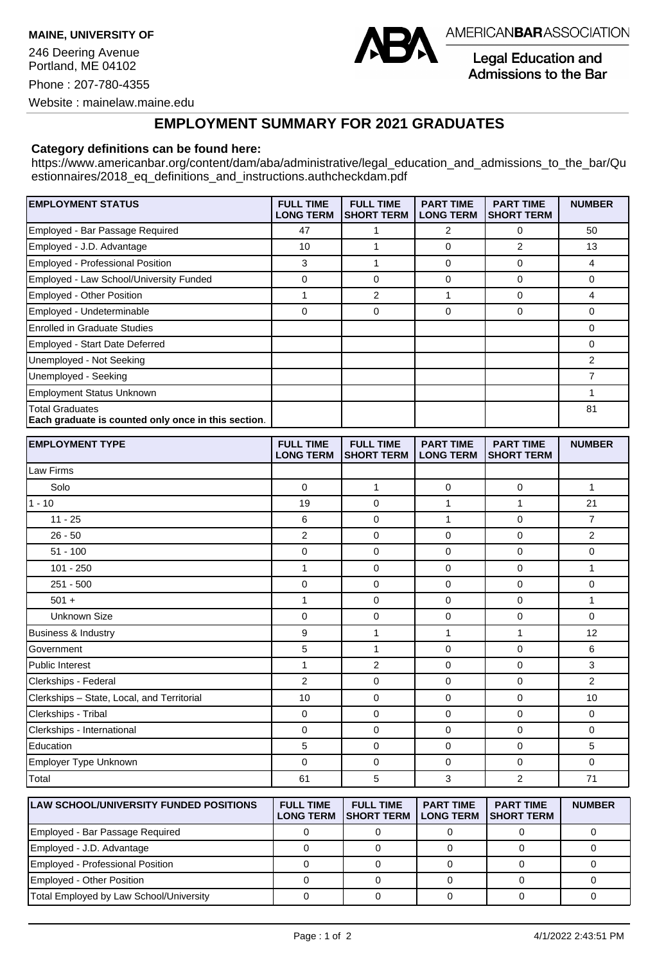**MAINE, UNIVERSITY OF** 246 Deering Avenue Portland, ME 04102 Phone : 207-780-4355 Website : mainelaw.maine.edu



AMERICANBARASSOCIATION

**Legal Education and** Admissions to the Bar

## **EMPLOYMENT SUMMARY FOR 2021 GRADUATES**

## **Category definitions can be found here:**

https://www.americanbar.org/content/dam/aba/administrative/legal\_education\_and\_admissions\_to\_the\_bar/Qu estionnaires/2018 eq definitions and instructions.authcheckdam.pdf

| <b>EMPLOYMENT STATUS</b>                                                      | <b>FULL TIME</b><br><b>LONG TERM</b> | <b>FULL TIME</b><br><b>SHORT TERM</b> | <b>PART TIME</b><br><b>LONG TERM</b> | <b>PART TIME</b><br><b>SHORT TERM</b> | <b>NUMBER</b> |
|-------------------------------------------------------------------------------|--------------------------------------|---------------------------------------|--------------------------------------|---------------------------------------|---------------|
| Employed - Bar Passage Required                                               | 47                                   |                                       | 2                                    | 0                                     | 50            |
| Employed - J.D. Advantage                                                     | 10                                   |                                       | 0                                    | 2                                     | 13            |
| Employed - Professional Position                                              | 3                                    |                                       | $\mathbf 0$                          | 0                                     | 4             |
| Employed - Law School/University Funded                                       | 0                                    | 0                                     | $\Omega$                             | 0                                     | 0             |
| <b>Employed - Other Position</b>                                              |                                      | 2                                     |                                      | <sup>0</sup>                          | 4             |
| Employed - Undeterminable                                                     | 0                                    | 0                                     | 0                                    | 0                                     | $\Omega$      |
| <b>Enrolled in Graduate Studies</b>                                           |                                      |                                       |                                      |                                       | 0             |
| Employed - Start Date Deferred                                                |                                      |                                       |                                      |                                       | 0             |
| Unemployed - Not Seeking                                                      |                                      |                                       |                                      |                                       | 2             |
| Unemployed - Seeking                                                          |                                      |                                       |                                      |                                       | 7             |
| <b>Employment Status Unknown</b>                                              |                                      |                                       |                                      |                                       |               |
| <b>Total Graduates</b><br>Each graduate is counted only once in this section. |                                      |                                       |                                      |                                       | 81            |

| <b>EMPLOYMENT TYPE</b>                     | <b>FULL TIME</b><br><b>LONG TERM</b> | <b>FULL TIME</b><br><b>SHORT TERM</b> | <b>PART TIME</b><br><b>LONG TERM</b> | <b>PART TIME</b><br><b>SHORT TERM</b> | <b>NUMBER</b>  |
|--------------------------------------------|--------------------------------------|---------------------------------------|--------------------------------------|---------------------------------------|----------------|
| Law Firms                                  |                                      |                                       |                                      |                                       |                |
| Solo                                       | $\mathbf 0$                          | 1                                     | $\mathbf 0$                          | $\mathbf 0$                           | $\mathbf{1}$   |
| $1 - 10$                                   | 19                                   | $\mathbf 0$                           | $\mathbf{1}$                         | 1                                     | 21             |
| $11 - 25$                                  | 6                                    | $\mathbf 0$                           | $\mathbf{1}$                         | $\mathbf 0$                           | $\overline{7}$ |
| $26 - 50$                                  | $\overline{2}$                       | 0                                     | $\mathbf 0$                          | $\Omega$                              | $\overline{2}$ |
| $51 - 100$                                 | 0                                    | $\mathbf 0$                           | $\mathbf 0$                          | 0                                     | $\mathbf 0$    |
| $101 - 250$                                | $\mathbf{1}$                         | $\mathbf 0$                           | $\mathbf 0$                          | $\mathbf 0$                           | $\mathbf{1}$   |
| $251 - 500$                                | 0                                    | 0                                     | $\mathbf 0$                          | 0                                     | $\mathbf 0$    |
| $501 +$                                    | $\mathbf{1}$                         | $\mathbf 0$                           | $\mathbf 0$                          | 0                                     | $\mathbf{1}$   |
| <b>Unknown Size</b>                        | 0                                    | $\mathbf 0$                           | $\mathbf 0$                          | 0                                     | $\Omega$       |
| Business & Industry                        | 9                                    | 1                                     | $\mathbf{1}$                         | $\mathbf{1}$                          | 12             |
| Government                                 | 5                                    | 1                                     | $\mathbf 0$                          | 0                                     | 6              |
| Public Interest                            | $\mathbf{1}$                         | $\overline{2}$                        | $\mathbf 0$                          | $\mathbf 0$                           | 3              |
| Clerkships - Federal                       | $\overline{2}$                       | $\mathbf 0$                           | $\mathbf 0$                          | $\mathbf 0$                           | $\overline{2}$ |
| Clerkships - State, Local, and Territorial | 10                                   | $\Omega$                              | $\Omega$                             | $\Omega$                              | 10             |
| Clerkships - Tribal                        | $\mathbf 0$                          | $\mathbf 0$                           | $\mathbf 0$                          | 0                                     | $\mathbf 0$    |
| Clerkships - International                 | 0                                    | $\mathbf 0$                           | $\mathbf 0$                          | $\mathbf 0$                           | $\mathbf 0$    |
| Education                                  | 5                                    | $\mathbf 0$                           | $\mathbf 0$                          | $\mathbf 0$                           | 5              |
| Employer Type Unknown                      | 0                                    | $\mathbf 0$                           | $\mathbf 0$                          | $\mathbf 0$                           | $\mathbf 0$    |
| Total                                      | 61                                   | 5                                     | 3                                    | 2                                     | 71             |

| <b>ILAW SCHOOL/UNIVERSITY FUNDED POSITIONS</b> | <b>FULL TIME</b><br><b>LONG TERM</b> | <b>FULL TIME</b><br><b>ISHORT TERM</b> | <b>PART TIME</b><br><b>LONG TERM</b> | <b>PART TIME</b><br><b>ISHORT TERM</b> | <b>NUMBER</b> |
|------------------------------------------------|--------------------------------------|----------------------------------------|--------------------------------------|----------------------------------------|---------------|
| Employed - Bar Passage Required                |                                      |                                        |                                      |                                        |               |
| Employed - J.D. Advantage                      |                                      |                                        |                                      |                                        |               |
| Employed - Professional Position               |                                      |                                        |                                      |                                        |               |
| <b>Employed - Other Position</b>               |                                      |                                        |                                      |                                        |               |
| Total Employed by Law School/University        |                                      |                                        |                                      |                                        |               |